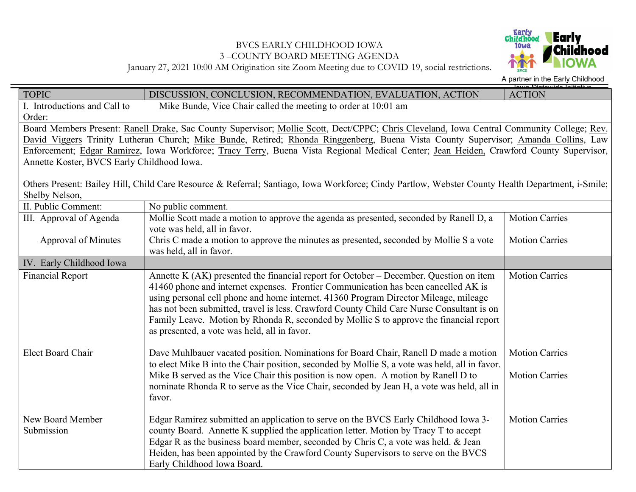## BVCS EARLY CHILDHOOD IOWA 3 –COUNTY BOARD MEETING AGENDA



January 27, 2021 10:00 AM Origination site Zoom Meeting due to COVID-19, social restrictions.

A partner in the Early Childhood

| <b>TOPIC</b>                                                                                                                               | DISCUSSION, CONCLUSION, RECOMMENDATION, EVALUATION, ACTION                                                                                                                   | unua Ctatawida Initiatiw<br><b>ACTION</b> |  |  |
|--------------------------------------------------------------------------------------------------------------------------------------------|------------------------------------------------------------------------------------------------------------------------------------------------------------------------------|-------------------------------------------|--|--|
| I. Introductions and Call to                                                                                                               | Mike Bunde, Vice Chair called the meeting to order at 10:01 am                                                                                                               |                                           |  |  |
| Order:                                                                                                                                     |                                                                                                                                                                              |                                           |  |  |
| Board Members Present: Ranell Drake, Sac County Supervisor; Mollie Scott, Dect/CPPC; Chris Cleveland, Iowa Central Community College; Rev. |                                                                                                                                                                              |                                           |  |  |
| David Viggers Trinity Lutheran Church; Mike Bunde, Retired; Rhonda Ringgenberg, Buena Vista County Supervisor; Amanda Collins, Law         |                                                                                                                                                                              |                                           |  |  |
| Enforcement; Edgar Ramirez, Iowa Workforce; Tracy Terry, Buena Vista Regional Medical Center; Jean Heiden, Crawford County Supervisor,     |                                                                                                                                                                              |                                           |  |  |
| Annette Koster, BVCS Early Childhood Iowa.                                                                                                 |                                                                                                                                                                              |                                           |  |  |
|                                                                                                                                            |                                                                                                                                                                              |                                           |  |  |
|                                                                                                                                            | Others Present: Bailey Hill, Child Care Resource & Referral; Santiago, Iowa Workforce; Cindy Partlow, Webster County Health Department, i-Smile;                             |                                           |  |  |
| Shelby Nelson,                                                                                                                             |                                                                                                                                                                              |                                           |  |  |
| II. Public Comment:                                                                                                                        | No public comment.                                                                                                                                                           |                                           |  |  |
| III. Approval of Agenda                                                                                                                    | Mollie Scott made a motion to approve the agenda as presented, seconded by Ranell D, a                                                                                       | <b>Motion Carries</b>                     |  |  |
|                                                                                                                                            | vote was held, all in favor.                                                                                                                                                 |                                           |  |  |
| Approval of Minutes                                                                                                                        | Chris C made a motion to approve the minutes as presented, seconded by Mollie S a vote                                                                                       | <b>Motion Carries</b>                     |  |  |
|                                                                                                                                            | was held, all in favor.                                                                                                                                                      |                                           |  |  |
| IV. Early Childhood Iowa                                                                                                                   |                                                                                                                                                                              |                                           |  |  |
| <b>Financial Report</b>                                                                                                                    | Annette K (AK) presented the financial report for October – December. Question on item<br>41460 phone and internet expenses. Frontier Communication has been cancelled AK is | <b>Motion Carries</b>                     |  |  |
|                                                                                                                                            | using personal cell phone and home internet. 41360 Program Director Mileage, mileage                                                                                         |                                           |  |  |
|                                                                                                                                            | has not been submitted, travel is less. Crawford County Child Care Nurse Consultant is on                                                                                    |                                           |  |  |
|                                                                                                                                            | Family Leave. Motion by Rhonda R, seconded by Mollie S to approve the financial report                                                                                       |                                           |  |  |
|                                                                                                                                            | as presented, a vote was held, all in favor.                                                                                                                                 |                                           |  |  |
|                                                                                                                                            |                                                                                                                                                                              |                                           |  |  |
| Elect Board Chair                                                                                                                          | Dave Muhlbauer vacated position. Nominations for Board Chair, Ranell D made a motion                                                                                         | <b>Motion Carries</b>                     |  |  |
|                                                                                                                                            | to elect Mike B into the Chair position, seconded by Mollie S, a vote was held, all in favor.                                                                                |                                           |  |  |
|                                                                                                                                            | Mike B served as the Vice Chair this position is now open. A motion by Ranell D to                                                                                           | <b>Motion Carries</b>                     |  |  |
|                                                                                                                                            | nominate Rhonda R to serve as the Vice Chair, seconded by Jean H, a vote was held, all in                                                                                    |                                           |  |  |
|                                                                                                                                            | favor.                                                                                                                                                                       |                                           |  |  |
|                                                                                                                                            |                                                                                                                                                                              |                                           |  |  |
| New Board Member                                                                                                                           | Edgar Ramirez submitted an application to serve on the BVCS Early Childhood Iowa 3-                                                                                          | <b>Motion Carries</b>                     |  |  |
| Submission                                                                                                                                 | county Board. Annette K supplied the application letter. Motion by Tracy T to accept                                                                                         |                                           |  |  |
|                                                                                                                                            | Edgar R as the business board member, seconded by Chris C, a vote was held. & Jean                                                                                           |                                           |  |  |
|                                                                                                                                            | Heiden, has been appointed by the Crawford County Supervisors to serve on the BVCS                                                                                           |                                           |  |  |
|                                                                                                                                            | Early Childhood Iowa Board.                                                                                                                                                  |                                           |  |  |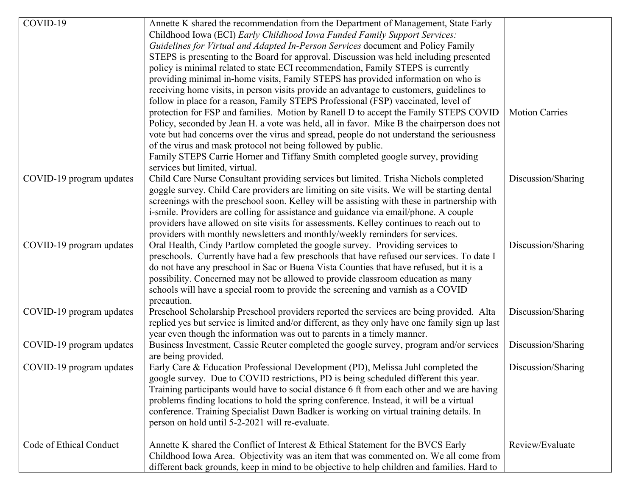| COVID-19<br>Annette K shared the recommendation from the Department of Management, State Early                       |                       |
|----------------------------------------------------------------------------------------------------------------------|-----------------------|
| Childhood Iowa (ECI) Early Childhood Iowa Funded Family Support Services:                                            |                       |
| Guidelines for Virtual and Adapted In-Person Services document and Policy Family                                     |                       |
| STEPS is presenting to the Board for approval. Discussion was held including presented                               |                       |
| policy is minimal related to state ECI recommendation, Family STEPS is currently                                     |                       |
| providing minimal in-home visits, Family STEPS has provided information on who is                                    |                       |
| receiving home visits, in person visits provide an advantage to customers, guidelines to                             |                       |
| follow in place for a reason, Family STEPS Professional (FSP) vaccinated, level of                                   |                       |
| protection for FSP and families. Motion by Ranell D to accept the Family STEPS COVID                                 | <b>Motion Carries</b> |
| Policy, seconded by Jean H. a vote was held, all in favor. Mike B the chairperson does not                           |                       |
| vote but had concerns over the virus and spread, people do not understand the seriousness                            |                       |
| of the virus and mask protocol not being followed by public.                                                         |                       |
| Family STEPS Carrie Horner and Tiffany Smith completed google survey, providing                                      |                       |
| services but limited, virtual.                                                                                       |                       |
| Child Care Nurse Consultant providing services but limited. Trisha Nichols completed<br>COVID-19 program updates     | Discussion/Sharing    |
| goggle survey. Child Care providers are limiting on site visits. We will be starting dental                          |                       |
| screenings with the preschool soon. Kelley will be assisting with these in partnership with                          |                       |
| i-smile. Providers are colling for assistance and guidance via email/phone. A couple                                 |                       |
| providers have allowed on site visits for assessments. Kelley continues to reach out to                              |                       |
| providers with monthly newsletters and monthly/weekly reminders for services.                                        |                       |
| Oral Health, Cindy Partlow completed the google survey. Providing services to<br>COVID-19 program updates            | Discussion/Sharing    |
| preschools. Currently have had a few preschools that have refused our services. To date I                            |                       |
| do not have any preschool in Sac or Buena Vista Counties that have refused, but it is a                              |                       |
| possibility. Concerned may not be allowed to provide classroom education as many                                     |                       |
| schools will have a special room to provide the screening and varnish as a COVID                                     |                       |
| precaution.                                                                                                          |                       |
| COVID-19 program updates<br>Preschool Scholarship Preschool providers reported the services are being provided. Alta | Discussion/Sharing    |
| replied yes but service is limited and/or different, as they only have one family sign up last                       |                       |
| year even though the information was out to parents in a timely manner.                                              |                       |
| COVID-19 program updates<br>Business Investment, Cassie Reuter completed the google survey, program and/or services  | Discussion/Sharing    |
| are being provided.                                                                                                  |                       |
| Early Care & Education Professional Development (PD), Melissa Juhl completed the<br>COVID-19 program updates         | Discussion/Sharing    |
| google survey. Due to COVID restrictions, PD is being scheduled different this year.                                 |                       |
| Training participants would have to social distance 6 ft from each other and we are having                           |                       |
| problems finding locations to hold the spring conference. Instead, it will be a virtual                              |                       |
| conference. Training Specialist Dawn Badker is working on virtual training details. In                               |                       |
| person on hold until 5-2-2021 will re-evaluate.                                                                      |                       |
| Code of Ethical Conduct<br>Annette K shared the Conflict of Interest & Ethical Statement for the BVCS Early          | Review/Evaluate       |
| Childhood Iowa Area. Objectivity was an item that was commented on. We all come from                                 |                       |
| different back grounds, keep in mind to be objective to help children and families. Hard to                          |                       |